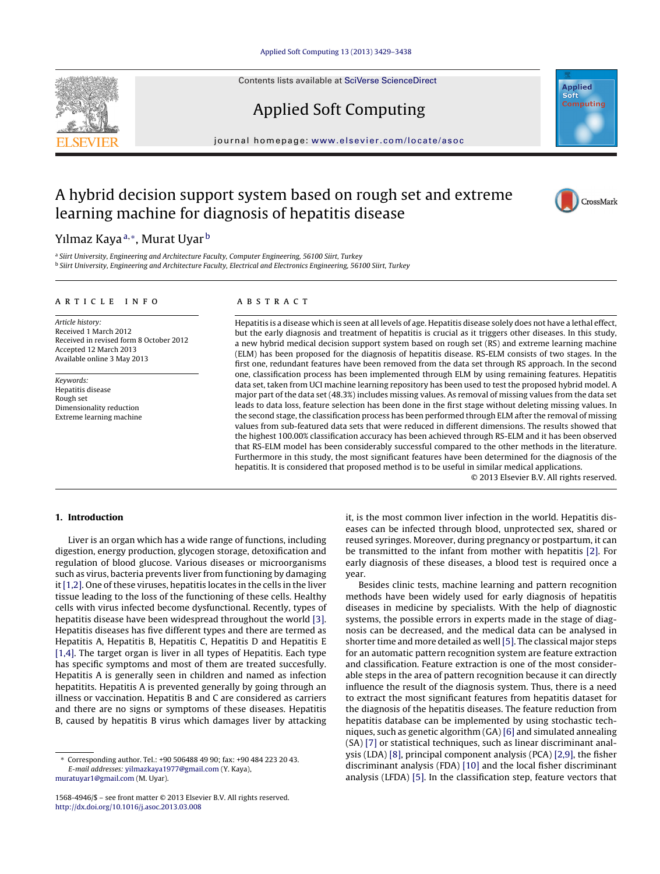Contents lists available at SciVerse [ScienceDirect](http://www.sciencedirect.com/science/journal/15684946)

# Applied Soft Computing

journal homepage: <www.elsevier.com/locate/asoc>

# A hybrid decision support system based on rough set and extreme learning machine for diagnosis of hepatitis disease

# Yılmaz Kaya<sup>a,∗</sup>, Murat Uyar<sup>b</sup>

a Siirt University, Engineering and Architecture Faculty, Computer Engineering, 56100 Siirt, Turkey  $^{\rm b}$  Siirt University, Engineering and Architecture Faculty, Electrical and Electronics Engineering, 56100 Siirt, Turkey

## a r t i c l e i n f o

Article history: Received 1 March 2012 Received in revised form 8 October 2012 Accepted 12 March 2013 Available online 3 May 2013

Keywords: Hepatitis disease Rough set Dimensionality reduction Extreme learning machine

## a b s t r a c t

Hepatitis is a disease which is seen at all levels of age. Hepatitis disease solely does not have a lethal effect, but the early diagnosis and treatment of hepatitis is crucial as it triggers other diseases. In this study, a new hybrid medical decision support system based on rough set (RS) and extreme learning machine (ELM) has been proposed for the diagnosis of hepatitis disease. RS-ELM consists of two stages. In the first one, redundant features have been removed from the data set through RS approach. In the second one, classification process has been implemented through ELM by using remaining features. Hepatitis data set, taken from UCI machine learning repository has been used to test the proposed hybrid model. A major part of the data set (48.3%) includes missing values. As removal of missing values from the data set leads to data loss, feature selection has been done in the first stage without deleting missing values. In the second stage, the classification process has been performed through ELM after the removal of missing values from sub-featured data sets that were reduced in different dimensions. The results showed that the highest 100.00% classification accuracy has been achieved through RS-ELM and it has been observed that RS-ELM model has been considerably successful compared to the other methods in the literature. Furthermore in this study, the most significant features have been determined for the diagnosis of the hepatitis. It is considered that proposed method is to be useful in similar medical applications.

© 2013 Elsevier B.V. All rights reserved.

# **1. Introduction**

Liver is an organ which has a wide range of functions, including digestion, energy production, glycogen storage, detoxification and regulation of blood glucose. Various diseases or microorganisms such as virus, bacteria prevents liver from functioning by damaging it  $[1,2]$ . One of these viruses, hepatitis locates in the cells in the liver tissue leading to the loss of the functioning of these cells. Healthy cells with virus infected become dysfunctional. Recently, types of hepatitis disease have been widespread throughout the world [\[3\].](#page--1-0) Hepatitis diseases has five different types and there are termed as Hepatitis A, Hepatitis B, Hepatitis C, Hepatitis D and Hepatitis E [\[1,4\].](#page--1-0) The target organ is liver in all types of Hepatitis. Each type has specific symptoms and most of them are treated succesfully. Hepatitis A is generally seen in children and named as infection hepatitits. Hepatitis A is prevented generally by going through an illness or vaccination. Hepatitis B and C are considered as carriers and there are no signs or symptoms of these diseases. Hepatitis B, caused by hepatitis B virus which damages liver by attacking

∗ Corresponding author. Tel.: +90 506488 49 90; fax: +90 484 223 20 43. E-mail addresses: [yilmazkaya1977@gmail.com](mailto:yilmazkaya1977@gmail.com) (Y. Kaya), [muratuyar1@gmail.com](mailto:muratuyar1@gmail.com) (M. Uyar).

1568-4946/\$ – see front matter © 2013 Elsevier B.V. All rights reserved. [http://dx.doi.org/10.1016/j.asoc.2013.03.008](dx.doi.org/10.1016/j.asoc.2013.03.008)

it, is the most common liver infection in the world. Hepatitis diseases can be infected through blood, unprotected sex, shared or reused syringes. Moreover, during pregnancy or postpartum, it can be transmitted to the infant from mother with hepatitis [\[2\].](#page--1-0) For early diagnosis of these diseases, a blood test is required once a year.

Besides clinic tests, machine learning and pattern recognition methods have been widely used for early diagnosis of hepatitis diseases in medicine by specialists. With the help of diagnostic systems, the possible errors in experts made in the stage of diagnosis can be decreased, and the medical data can be analysed in shorter time and more detailed as well[\[5\].](#page--1-0) The classical major steps for an automatic pattern recognition system are feature extraction and classification. Feature extraction is one of the most considerable steps in the area of pattern recognition because it can directly influence the result of the diagnosis system. Thus, there is a need to extract the most significant features from hepatitis dataset for the diagnosis of the hepatitis diseases. The feature reduction from hepatitis database can be implemented by using stochastic techniques, such as genetic algorithm (GA) [\[6\]](#page--1-0) and simulated annealing (SA) [\[7\]](#page--1-0) or statistical techniques, such as linear discriminant analysis (LDA) [\[8\],](#page--1-0) principal component analysis (PCA) [\[2,9\],](#page--1-0) the fisher discriminant analysis (FDA) [\[10\]](#page--1-0) and the local fisher discriminant analysis (LFDA) [\[5\].](#page--1-0) In the classification step, feature vectors that





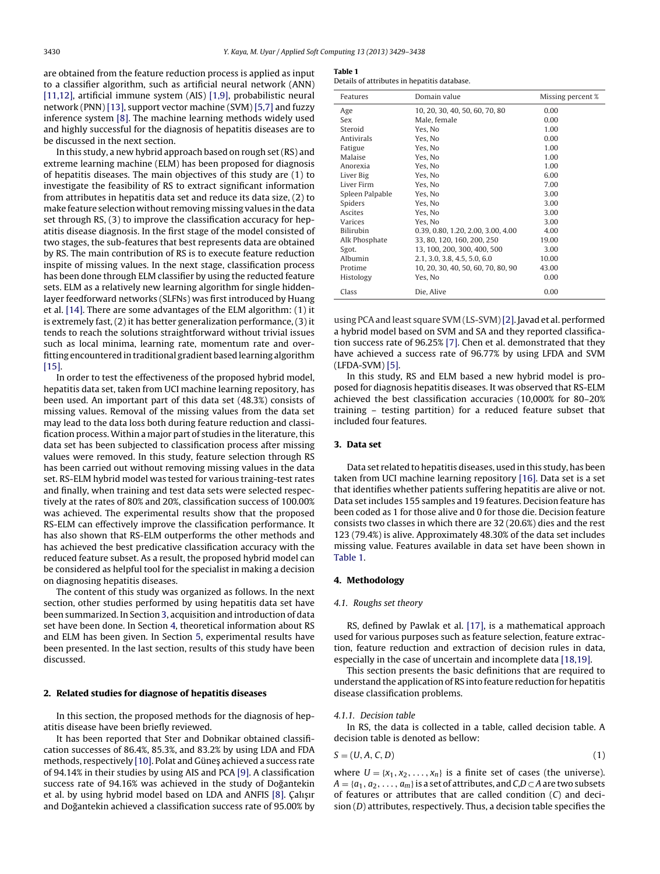are obtained from the feature reduction process is applied as input to a classifier algorithm, such as artificial neural network (ANN) [\[11,12\],](#page--1-0) artificial immune system (AIS) [\[1,9\],](#page--1-0) probabilistic neural network (PNN) [\[13\],](#page--1-0) support vector machine (SVM) [\[5,7\]](#page--1-0) and fuzzy inference system [\[8\].](#page--1-0) The machine learning methods widely used and highly successful for the diagnosis of hepatitis diseases are to be discussed in the next section.

In this study, a new hybrid approach based on rough set(RS) and extreme learning machine (ELM) has been proposed for diagnosis of hepatitis diseases. The main objectives of this study are (1) to investigate the feasibility of RS to extract significant information from attributes in hepatitis data set and reduce its data size, (2) to make feature selection without removing missing values in the data set through RS, (3) to improve the classification accuracy for hepatitis disease diagnosis. In the first stage of the model consisted of two stages, the sub-features that best represents data are obtained by RS. The main contribution of RS is to execute feature reduction inspite of missing values. In the next stage, classification process has been done through ELM classifier by using the reducted feature sets. ELM as a relatively new learning algorithm for single hiddenlayer feedforward networks (SLFNs) was first introduced by Huang et al. [\[14\].](#page--1-0) There are some advantages of the ELM algorithm: (1) it is extremely fast, (2) it has better generalization performance, (3) it tends to reach the solutions straightforward without trivial issues such as local minima, learning rate, momentum rate and overfitting encountered in traditional gradient based learning algorithm [\[15\].](#page--1-0)

In order to test the effectiveness of the proposed hybrid model, hepatitis data set, taken from UCI machine learning repository, has been used. An important part of this data set (48.3%) consists of missing values. Removal of the missing values from the data set may lead to the data loss both during feature reduction and classification process. Within a major part of studies in the literature, this data set has been subjected to classification process after missing values were removed. In this study, feature selection through RS has been carried out without removing missing values in the data set. RS-ELM hybrid model was tested for various training-test rates and finally, when training and test data sets were selected respectively at the rates of 80% and 20%, classification success of 100.00% was achieved. The experimental results show that the proposed RS-ELM can effectively improve the classification performance. It has also shown that RS-ELM outperforms the other methods and has achieved the best predicative classification accuracy with the reduced feature subset. As a result, the proposed hybrid model can be considered as helpful tool for the specialist in making a decision on diagnosing hepatitis diseases.

The content of this study was organized as follows. In the next section, other studies performed by using hepatitis data set have been summarized. In Section 3, acquisition and introduction of data set have been done. In Section 4, theoretical information about RS and ELM has been given. In Section [5,](#page--1-0) experimental results have been presented. In the last section, results of this study have been discussed.

#### **2. Related studies for diagnose of hepatitis diseases**

In this section, the proposed methods for the diagnosis of hepatitis disease have been briefly reviewed.

It has been reported that Ster and Dobnikar obtained classification successes of 86.4%, 85.3%, and 83.2% by using LDA and FDA methods, respectively [\[10\].](#page--1-0) Polat and Güneş achieved a success rate of 94.14% in their studies by using AIS and PCA [\[9\].](#page--1-0) A classification success rate of 94.16% was achieved in the study of Doğantekin et al. by using hybrid model based on LDA and ANFIS [\[8\].](#page--1-0) Çalışır and Doğantekin achieved a classification success rate of 95.00% by

#### **Table 1**

Details of attributes in hepatitis database.

| Features        | Domain value                       | Missing percent % |
|-----------------|------------------------------------|-------------------|
| Age             | 10, 20, 30, 40, 50, 60, 70, 80     | 0.00              |
| Sex             | Male, female                       | 0.00              |
| Steroid         | Yes, No                            | 1.00              |
| Antivirals      | Yes, No                            | 0.00              |
| Fatigue         | Yes, No                            | 1.00              |
| Malaise         | Yes, No                            | 1.00              |
| Anorexia        | Yes, No                            | 1.00              |
| Liver Big       | Yes, No                            | 6.00              |
| Liver Firm      | Yes, No                            | 7.00              |
| Spleen Palpable | Yes, No                            | 3.00              |
| Spiders         | Yes, No                            | 3.00              |
| Ascites         | Yes, No                            | 3.00              |
| Varices         | Yes, No                            | 3.00              |
| Bilirubin       | 0.39, 0.80, 1.20, 2.00, 3.00, 4.00 | 4.00              |
| Alk Phosphate   | 33, 80, 120, 160, 200, 250         | 19.00             |
| Sgot.           | 13, 100, 200, 300, 400, 500        | 3.00              |
| Albumin         | 2.1, 3.0, 3.8, 4.5, 5.0, 6.0       | 10.00             |
| Protime         | 10, 20, 30, 40, 50, 60, 70, 80, 90 | 43.00             |
| Histology       | Yes, No                            | 0.00              |
| Class           | Die, Alive                         | 0.00              |

using PCAand least square SVM (LS-SVM)[\[2\].](#page--1-0) Javad et al. performed a hybrid model based on SVM and SA and they reported classification success rate of 96.25% [\[7\].](#page--1-0) Chen et al. demonstrated that they have achieved a success rate of 96.77% by using LFDA and SVM (LFDA-SVM) [\[5\].](#page--1-0)

In this study, RS and ELM based a new hybrid model is proposed for diagnosis hepatitis diseases. It was observed that RS-ELM achieved the best classification accuracies (10,000% for 80–20% training – testing partition) for a reduced feature subset that included four features.

### **3. Data set**

Data set related to hepatitis diseases, used in this study, has been taken from UCI machine learning repository [\[16\].](#page--1-0) Data set is a set that identifies whether patients suffering hepatitis are alive or not. Data set includes 155 samples and 19 features. Decision feature has been coded as 1 for those alive and 0 for those die. Decision feature consists two classes in which there are 32 (20.6%) dies and the rest 123 (79.4%) is alive. Approximately 48.30% of the data set includes missing value. Features available in data set have been shown in Table 1.

### **4. Methodology**

#### 4.1. Roughs set theory

RS, defined by Pawlak et al. [\[17\],](#page--1-0) is a mathematical approach used for various purposes such as feature selection, feature extraction, feature reduction and extraction of decision rules in data, especially in the case of uncertain and incomplete data [\[18,19\].](#page--1-0)

This section presents the basic definitions that are required to understand the application of RS into feature reduction for hepatitis disease classification problems.

#### 4.1.1. Decision table

In RS, the data is collected in a table, called decision table. A decision table is denoted as bellow:

$$
S = (U, A, C, D) \tag{1}
$$

where  $U = \{x_1, x_2, \dots, x_n\}$  is a finite set of cases (the universe).  $A = \{a_1, a_2, \ldots, a_m\}$  is a set of attributes, and  $C, D \subset A$  are two subsets of features or attributes that are called condition (C) and deci $s$ ion  $(D)$  attributes, respectively. Thus, a decision table specifies the